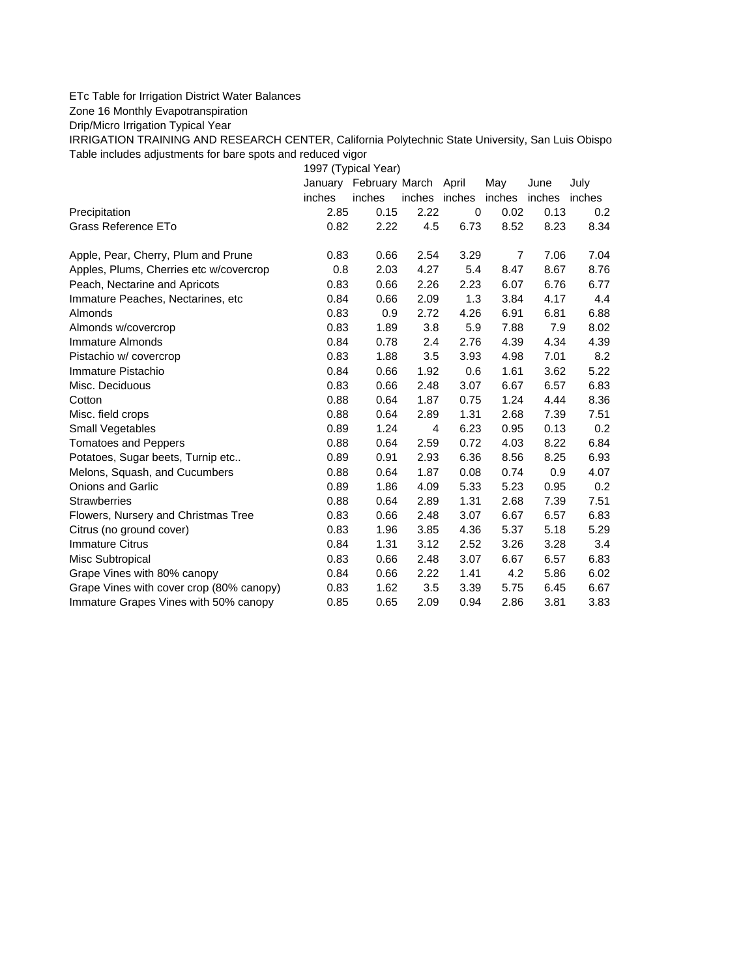## ETc Table for Irrigation District Water Balances

Zone 16 Monthly Evapotranspiration

Drip/Micro Irrigation Typical Year

IRRIGATION TRAINING AND RESEARCH CENTER, California Polytechnic State University, San Luis Obispo Table includes adjustments for bare spots and reduced vigor

1997 (Typical Year) January February March April May June July inches inches inches inches inches inches inches Precipitation 2.85 0.15 2.22 0 0.02 0.13 0.2 Grass Reference ETo **0.82** 2.22 4.5 6.73 8.52 8.23 8.34 Apple, Pear, Cherry, Plum and Prune  $0.83$   $0.66$   $2.54$   $3.29$  7 7.06 7.04 Apples, Plums, Cherries etc w/covercrop 0.8 2.03 4.27 5.4 8.47 8.67 8.76 Peach, Nectarine and Apricots 0.83 0.66 2.26 2.23 6.07 6.76 6.77 Immature Peaches, Nectarines, etc 0.84 0.66 2.09 1.3 3.84 4.17 4.4 Almonds 0.83 0.9 2.72 4.26 6.91 6.81 6.88 Almonds w/covercrop 0.83 1.89 3.8 5.9 7.88 7.9 8.02 Immature Almonds 0.84 0.78 2.4 2.76 4.39 4.34 4.39 Pistachio w/ covercrop 0.83 1.88 3.5 3.93 4.98 7.01 8.2 Immature Pistachio 0.84 0.66 1.92 0.6 1.61 3.62 5.22 Misc. Deciduous 0.83 0.66 2.48 3.07 6.67 6.57 6.83 Cotton 0.88 0.64 1.87 0.75 1.24 4.44 8.36 Misc. field crops 0.88 0.64 2.89 1.31 2.68 7.39 7.51 Small Vegetables 0.89 1.24 4 6.23 0.95 0.13 0.2 Tomatoes and Peppers 0.88 0.64 2.59 0.72 4.03 8.22 6.84 Potatoes, Sugar beets, Turnip etc.. 0.89 0.91 2.93 6.36 8.56 8.25 6.93 Melons, Squash, and Cucumbers 0.88 0.64 1.87 0.08 0.74 0.9 4.07 Onions and Garlic 0.89 1.86 4.09 5.33 5.23 0.95 0.2 Strawberries 0.88 0.64 2.89 1.31 2.68 7.39 7.51 Flowers, Nursery and Christmas Tree 0.83 0.66 2.48 3.07 6.67 6.57 6.83 Citrus (no ground cover) 0.83 1.96 3.85 4.36 5.37 5.18 5.29 Immature Citrus 0.84 1.31 3.12 2.52 3.26 3.28 3.4 Misc Subtropical 0.83 0.66 2.48 3.07 6.67 6.57 6.83 Grape Vines with 80% canopy  $0.84$  0.66 2.22 1.41 4.2 5.86 6.02 Grape Vines with cover crop (80% canopy)  $0.83$  1.62  $3.5$  3.39  $5.75$  6.45 6.67 Immature Grapes Vines with 50% canopy 0.85 0.65 2.09 0.94 2.86 3.81 3.83